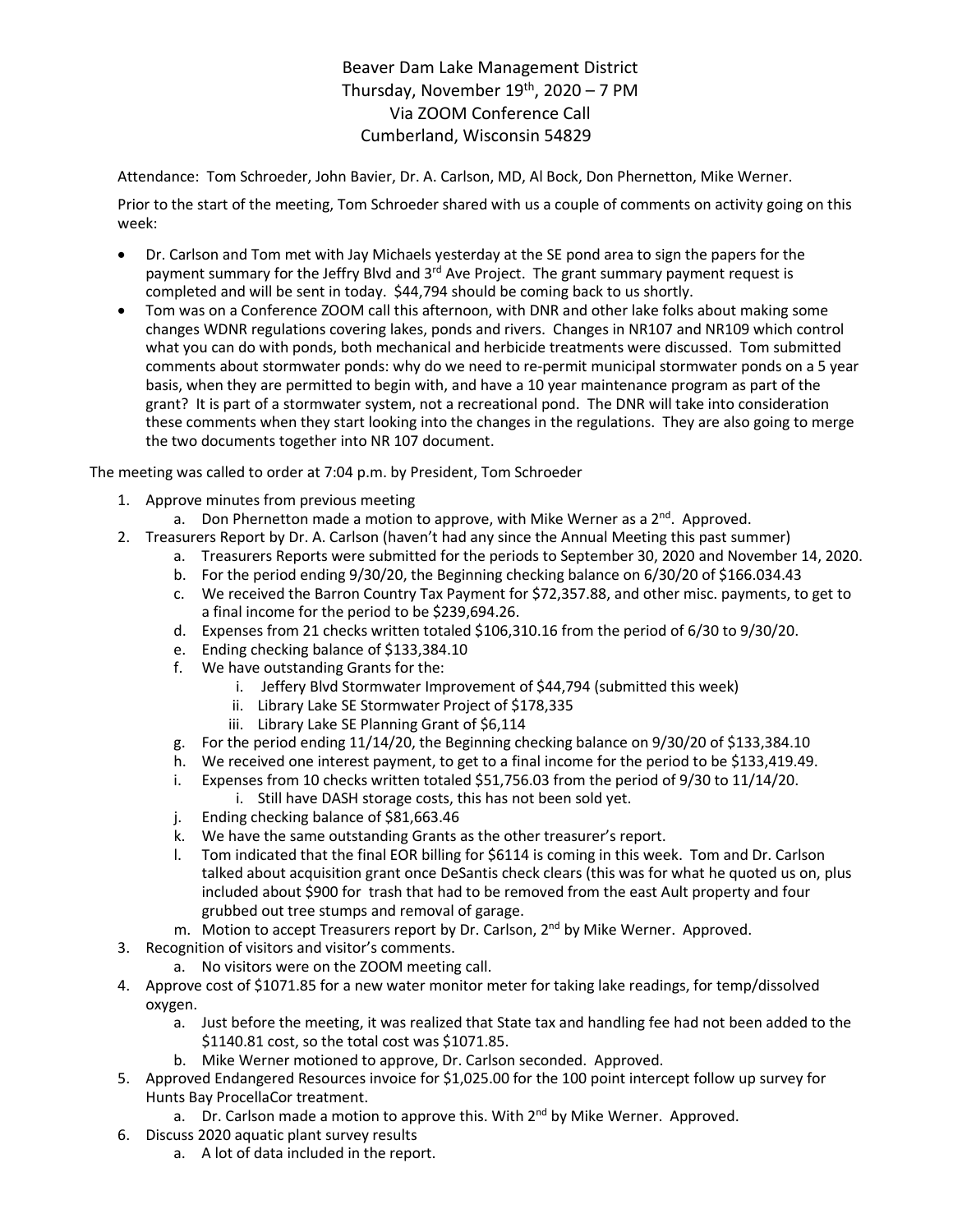## Beaver Dam Lake Management District Thursday, November  $19<sup>th</sup>$ , 2020 – 7 PM Via ZOOM Conference Call Cumberland, Wisconsin 54829

Attendance: Tom Schroeder, John Bavier, Dr. A. Carlson, MD, Al Bock, Don Phernetton, Mike Werner.

Prior to the start of the meeting, Tom Schroeder shared with us a couple of comments on activity going on this week:

- Dr. Carlson and Tom met with Jay Michaels yesterday at the SE pond area to sign the papers for the payment summary for the Jeffry Blvd and 3<sup>rd</sup> Ave Project. The grant summary payment request is completed and will be sent in today. \$44,794 should be coming back to us shortly.
- Tom was on a Conference ZOOM call this afternoon, with DNR and other lake folks about making some changes WDNR regulations covering lakes, ponds and rivers. Changes in NR107 and NR109 which control what you can do with ponds, both mechanical and herbicide treatments were discussed. Tom submitted comments about stormwater ponds: why do we need to re-permit municipal stormwater ponds on a 5 year basis, when they are permitted to begin with, and have a 10 year maintenance program as part of the grant? It is part of a stormwater system, not a recreational pond. The DNR will take into consideration these comments when they start looking into the changes in the regulations. They are also going to merge the two documents together into NR 107 document.

The meeting was called to order at 7:04 p.m. by President, Tom Schroeder

- 1. Approve minutes from previous meeting
	- a. Don Phernetton made a motion to approve, with Mike Werner as a  $2<sup>nd</sup>$ . Approved.
- 2. Treasurers Report by Dr. A. Carlson (haven't had any since the Annual Meeting this past summer)
	- a. Treasurers Reports were submitted for the periods to September 30, 2020 and November 14, 2020.
	- b. For the period ending 9/30/20, the Beginning checking balance on 6/30/20 of \$166.034.43
	- c. We received the Barron Country Tax Payment for \$72,357.88, and other misc. payments, to get to a final income for the period to be \$239,694.26.
	- d. Expenses from 21 checks written totaled \$106,310.16 from the period of 6/30 to 9/30/20.
	- e. Ending checking balance of \$133,384.10
	- f. We have outstanding Grants for the:
		- i. Jeffery Blvd Stormwater Improvement of \$44,794 (submitted this week)
		- ii. Library Lake SE Stormwater Project of \$178,335
		- iii. Library Lake SE Planning Grant of \$6,114
	- g. For the period ending 11/14/20, the Beginning checking balance on 9/30/20 of \$133,384.10
	- h. We received one interest payment, to get to a final income for the period to be \$133,419.49.
	- i. Expenses from 10 checks written totaled \$51,756.03 from the period of 9/30 to 11/14/20. i. Still have DASH storage costs, this has not been sold yet.
	- j. Ending checking balance of \$81,663.46
	- k. We have the same outstanding Grants as the other treasurer's report.
	- l. Tom indicated that the final EOR billing for \$6114 is coming in this week. Tom and Dr. Carlson talked about acquisition grant once DeSantis check clears (this was for what he quoted us on, plus included about \$900 for trash that had to be removed from the east Ault property and four grubbed out tree stumps and removal of garage.
	- m. Motion to accept Treasurers report by Dr. Carlson, 2<sup>nd</sup> by Mike Werner. Approved.
- 3. Recognition of visitors and visitor's comments.
	- a. No visitors were on the ZOOM meeting call.
- 4. Approve cost of \$1071.85 for a new water monitor meter for taking lake readings, for temp/dissolved oxygen.
	- a. Just before the meeting, it was realized that State tax and handling fee had not been added to the \$1140.81 cost, so the total cost was \$1071.85.
	- b. Mike Werner motioned to approve, Dr. Carlson seconded. Approved.
- 5. Approved Endangered Resources invoice for \$1,025.00 for the 100 point intercept follow up survey for Hunts Bay ProcellaCor treatment.
	- a. Dr. Carlson made a motion to approve this. With 2<sup>nd</sup> by Mike Werner. Approved.
- 6. Discuss 2020 aquatic plant survey results
	- a. A lot of data included in the report.